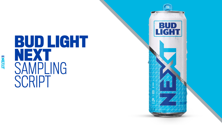

## **BUD LIGHT** SAMPLING SCRIPT

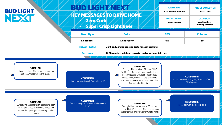## **BUD LIGHT** NEXT

|  |  |  |                  |  | KEY MESSAGES TO DRIVE HOME |  |  |  |
|--|--|--|------------------|--|----------------------------|--|--|--|
|  |  |  | <b>Zero Carb</b> |  |                            |  |  |  |
|  |  |  |                  |  |                            |  |  |  |

• **Super Crisp Light Beer** 

| <b>IGNITE JOB</b><br><b>Expand Consumption</b> | <b>TARGET CONSUMER</b><br>LDA-27, co-ed |
|------------------------------------------------|-----------------------------------------|
| <b>MACRO TREND</b>                             | <b>OCCASION</b>                         |
| <b>Smart Choices</b>                           | Any light beer<br>drinking occasion     |

| <b>Beer Style</b>                                                                | <b>Color</b>                                       | <b>ABV</b> | <b>Calories</b> |  |  |  |  |
|----------------------------------------------------------------------------------|----------------------------------------------------|------------|-----------------|--|--|--|--|
| <b>Light Lager</b>                                                               | <b>Light Yellow</b>                                | <b>4%</b>  | 80              |  |  |  |  |
| <b>Flavor Profile</b>                                                            | Light body and super crisp taste for easy drinking |            |                 |  |  |  |  |
| At 80 calories and 0 carbs, a crisp and refreshing light beer<br><b>Features</b> |                                                    |            |                 |  |  |  |  |